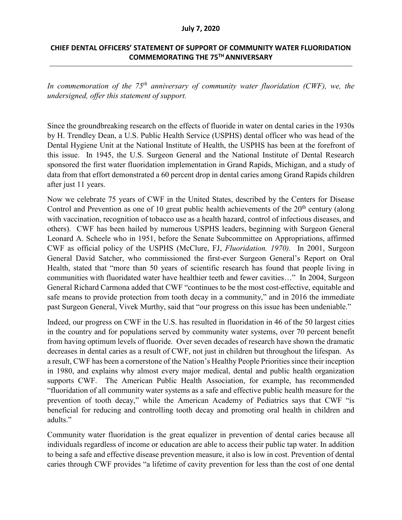## **CHIEF DENTAL OFFICERS' STATEMENT OF SUPPORT OF COMMUNITY WATER FLUORIDATION COMMEMORATING THE 75TH ANNIVERSARY**

*In commemoration of the 75th anniversary of community water fluoridation (CWF), we, the undersigned, offer this statement of support.*

Since the groundbreaking research on the effects of fluoride in water on dental caries in the 1930s by H. Trendley Dean, a U.S. Public Health Service (USPHS) dental officer who was head of the Dental Hygiene Unit at the National Institute of Health, the USPHS has been at the forefront of this issue. In 1945, the U.S. Surgeon General and the National Institute of Dental Research sponsored the first water fluoridation implementation in Grand Rapids, Michigan, and a study of data from that effort demonstrated a 60 percent drop in dental caries among Grand Rapids children after just 11 years.

Now we celebrate 75 years of CWF in the United States, described by the Centers for Disease Control and Prevention as one of 10 great public health achievements of the  $20<sup>th</sup>$  century (along with vaccination, recognition of tobacco use as a health hazard, control of infectious diseases, and others). CWF has been hailed by numerous USPHS leaders, beginning with Surgeon General Leonard A. Scheele who in 1951, before the Senate Subcommittee on Appropriations, affirmed CWF as official policy of the USPHS (McClure, FJ, *Fluoridation. 1970)*. In 2001, Surgeon General David Satcher, who commissioned the first-ever Surgeon General's Report on Oral Health, stated that "more than 50 years of scientific research has found that people living in communities with fluoridated water have healthier teeth and fewer cavities…" In 2004, Surgeon General Richard Carmona added that CWF "continues to be the most cost-effective, equitable and safe means to provide protection from tooth decay in a community," and in 2016 the immediate past Surgeon General, Vivek Murthy, said that "our progress on this issue has been undeniable."

Indeed, our progress on CWF in the U.S. has resulted in fluoridation in 46 of the 50 largest cities in the country and for populations served by community water systems, over 70 percent benefit from having optimum levels of fluoride. Over seven decades of research have shown the dramatic decreases in dental caries as a result of CWF, not just in children but throughout the lifespan. As a result, CWF has been a cornerstone of the Nation's Healthy People Priorities since their inception in 1980, and explains why almost every major medical, dental and public health organization supports CWF. The American Public Health Association, for example, has recommended "fluoridation of all community water systems as a safe and effective public health measure for the prevention of tooth decay," while the American Academy of Pediatrics says that CWF "is beneficial for reducing and controlling tooth decay and promoting oral health in children and adults."

Community water fluoridation is the great equalizer in prevention of dental caries because all individuals regardless of income or education are able to access their public tap water. In addition to being a safe and effective disease prevention measure, it also is low in cost. Prevention of dental caries through CWF provides "a lifetime of cavity prevention for less than the cost of one dental